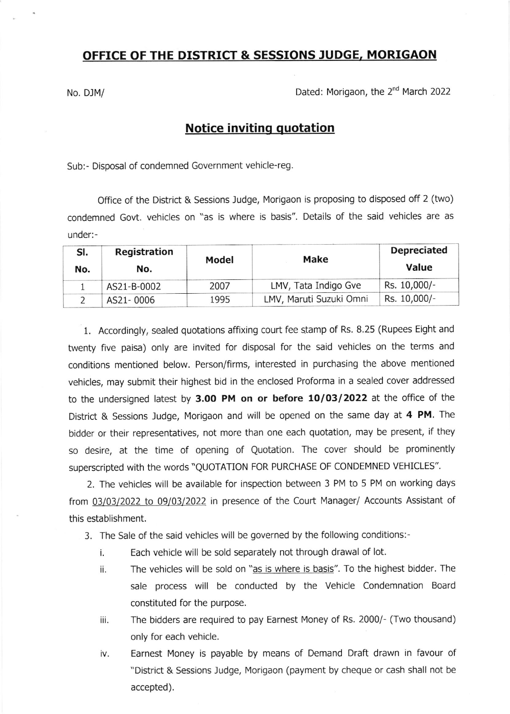## OFFICE OF THE DISTRICT & SESSIONS JUDGE, MORIGAON

No. DJM/ No. DJM/

## Notice inviting quotation

Sub:- Disposal of condemned Government vehicle-reg

Office of the District & Sessions Judge, Morigaon is proposing to disposed off 2 (two) condemned Govt. vehicles on "as is where is basis". Details of the said vehicles are as under:-

| SI.<br>No. | Registration<br>No. | Model | Make                    | <b>Depreciated</b><br>Value |
|------------|---------------------|-------|-------------------------|-----------------------------|
|            | AS21-B-0002         | 2007  | LMV, Tata Indigo Gve    | Rs. 10,000/-                |
|            | AS21-0006           | 1995  | LMV, Maruti Suzuki Omni | Rs. 10,000/-                |

1. Accordingly, sealed quotations affixing court fee stamp of Rs. 8.25 (Rupees Eight and twenty five paisa) only are invited for disposal for the said vehicles on the terms and conditions mentioned below. Person/firms, interested in purchasing the above mentioned vehicles, may submit their highest bid in the enclosed Proforma in a sealed cover addressed to the undersigned latest by 3.O0 PM on or before 10/03/2022 at the office of the District & Sessions Judge, Morigaon and will be opened on the same day at 4 PM. The bidder or their representatives, not more than one each quotation, may be present, if they so desire, at the time of opening of Quotation. The cover should be prominently superscripted with the words "QUOTATION FOR PURCHASE OF CONDEMNED VEHICLES".

2. The vehicles will be available for inspection between 3 PM to 5 PM on working days from 03/03/2022 to 09/03/2022 in presence of the Court Manager/ Accounts Assistant of this establishment.

- 3. The Sale of the said vehicles will be governed by the following conditions:
	- i. Each vehicle will be sold separately not through drawal of lot.
	- ii. The vehicles will be sold on "as is where is basis". To the highest bidder. The sale process will be conducted by the Vehicle Condemnation Board constituted for the purpose.
	- iii. The bidders are required to pay Earnest Money of Rs. 2000/- (Two thousand) only for each vehicle.
	- iv. Earnest Money is payable by means of Demand Draft drawn in favour of "District & Sessions ludge, Morigaon (payment by cheque or cash shall not be accepted).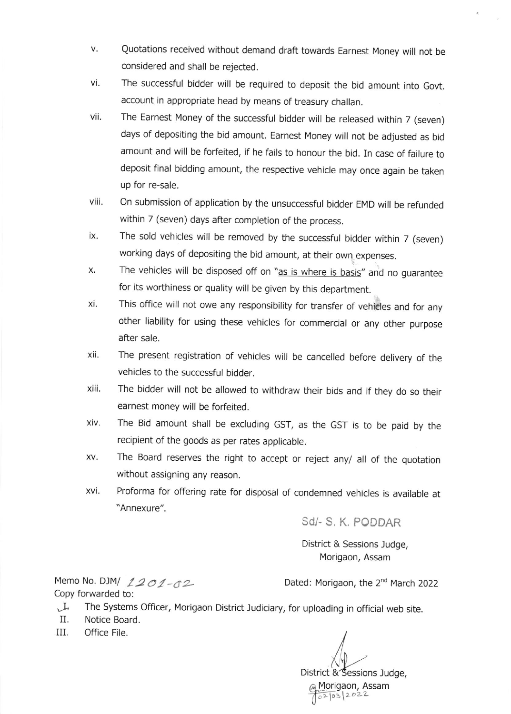- Quotations received without demand draft towards Earnest Money will not be v. considered and shall be rejected.
- vi. The successful bidder will be required to deposit the bid amount into Govt. account in appropriate head by means of treasury challan.
- The Earnest Money of the successful bidder will be released within 7 (seven) days of depositing the bid amount. Earnest Money will not be adjusted as bid amount and will be forfeited, if he fails to honour the bid. In case of failure to deposit final bidding amount, the respective vehicle may once again be taken up for re-sale. vii.
- on submission of application by the unsuccessfur bidder EMD will be refunded within 7 (seven) days after completion of the process. viii.
- The sold vehicles will be removed by the successful bidder within 7 (seven) working days of depositing the bid amount, at their own. expenses. ix.
- The vehicles will be disposed off on "as is where is basis" and no guarantee for its worthiness or quality will be given by this department. X
- This office will not owe any responsibility for transfer of vehieles and for any other liability for using these vehicles for commercial or any other purpose after sale. xi.
- The present registration of vehicles will be cancelled before delivery of the vehicles to the successful bidder. xii.
- The bidder will not be allowed to withdraw their bids and if they do so their earnest money will be forfeited. xiii.
- The Bid amount shall be excluding GST, as the GST is to be paid by the recipient of the goods as per rates applicable. XIV
- The Board reserves the right to accept or reject any/ all of the quotation without assigning any reason. XV
- Proforma for offering rate for disposal of condemned vehicles is available at "Annexure". xvi.

Sd/- S, K. PODDAR

District & Sessions ludge, Morigaon, Assam

Copy forwarded to:

Memo No. DJM/  $1201 - 62$  Dated: Morigaon, the 2<sup>nd</sup> March 2022

- The Systems Officer, Morigaon District Judiciary, for uploading in official web site.<br>II. Notice Board.
- Notice Board.
- III. Office File.

District & Sessions Judge, Morigaon, Assam  $621032022$